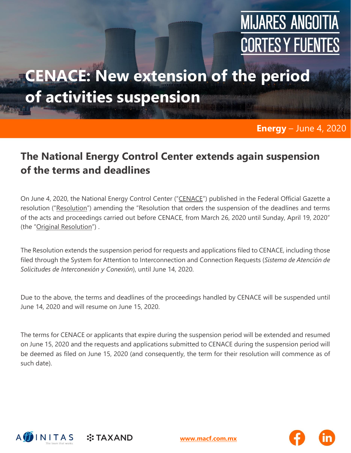# **MIJARES ANGOITIA CORTES Y FUENTES**

## **CENACE: New extension of the period of activities suspension**

#### **Energy** – June 4, 2020

#### **The National Energy Control Center extends again suspension of the terms and deadlines**

On June 4, 2020, the National Energy Control Center ("CENACE") published in the Federal Official Gazette a resolution ("Resolution") amending the "Resolution that orders the suspension of the deadlines and terms of the acts and proceedings carried out before CENACE, from March 26, 2020 until Sunday, April 19, 2020" (the "Original Resolution") .

The Resolution extends the suspension period for requests and applications filed to CENACE, including those filed through the System for Attention to Interconnection and Connection Requests (*Sistema de Atención de Solicitudes de Interconexión y Conexión*), until June 14, 2020.

Due to the above, the terms and deadlines of the proceedings handled by CENACE will be suspended until June 14, 2020 and will resume on June 15, 2020.

The terms for CENACE or applicants that expire during the suspension period will be extended and resumed on June 15, 2020 and the requests and applications submitted to CENACE during the suspension period will be deemed as filed on June 15, 2020 (and consequently, the term for their resolution will commence as of such date).



**:: TAXAND** 

**[www.macf.com.mx](http://www.macf.com.mx/)**